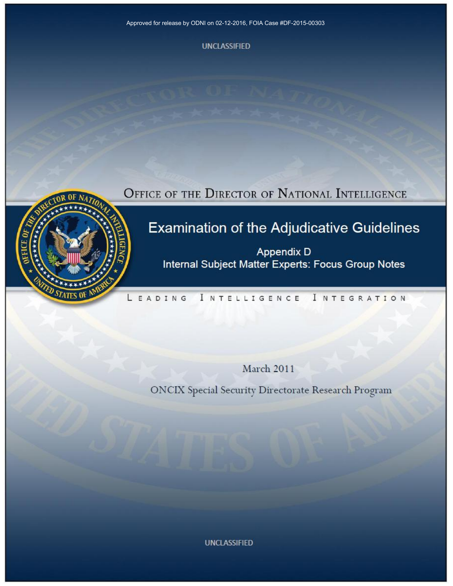Approved for release by ODNI on 02-12-2016, FOIA Case #DF-2015-00303

**UNCLASSIFIED** 

OFFICE OF THE DIRECTOR OF NATIONAL INTELLIGENCE

# Examination of the Adjudicative Guidelines

Appendix D Internal Subject Matter Experts: Focus Group Notes

#### LEADING I NTELLIGENCE **INTEGRATION**

**March 2011** 

ONCIX Special Security Directorate Research Program

**UNCLASSIFIED**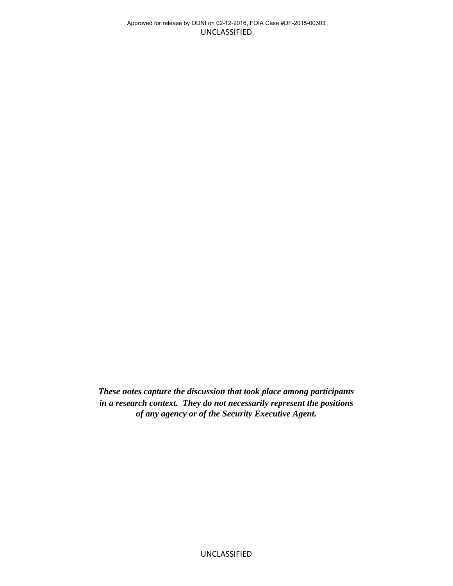*These notes capture the discussion that took place among participants in a research context. They do not necessarily represent the positions of any agency or of the Security Executive Agent.*

UNCLASSIFIED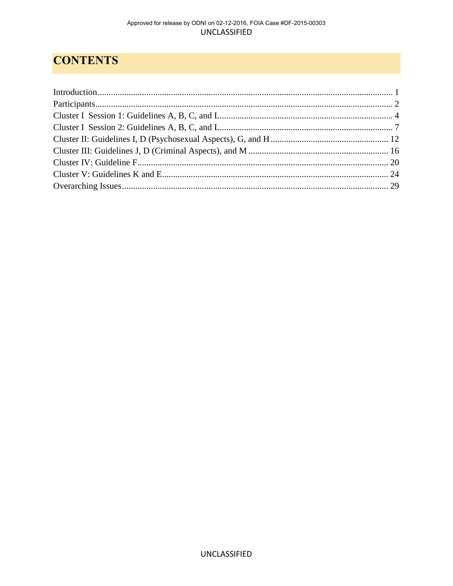# **CONTENTS**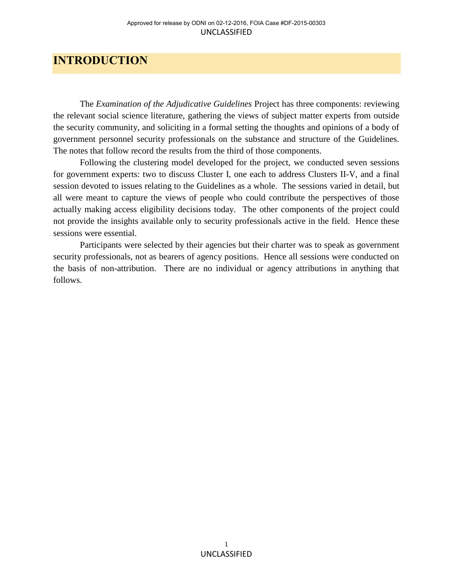## <span id="page-3-0"></span>**INTRODUCTION**

The *Examination of the Adjudicative Guidelines* Project has three components: reviewing the relevant social science literature, gathering the views of subject matter experts from outside the security community, and soliciting in a formal setting the thoughts and opinions of a body of government personnel security professionals on the substance and structure of the Guidelines. The notes that follow record the results from the third of those components.

Following the clustering model developed for the project, we conducted seven sessions for government experts: two to discuss Cluster I, one each to address Clusters II-V, and a final session devoted to issues relating to the Guidelines as a whole. The sessions varied in detail, but all were meant to capture the views of people who could contribute the perspectives of those actually making access eligibility decisions today. The other components of the project could not provide the insights available only to security professionals active in the field. Hence these sessions were essential.

Participants were selected by their agencies but their charter was to speak as government security professionals, not as bearers of agency positions. Hence all sessions were conducted on the basis of non-attribution. There are no individual or agency attributions in anything that follows.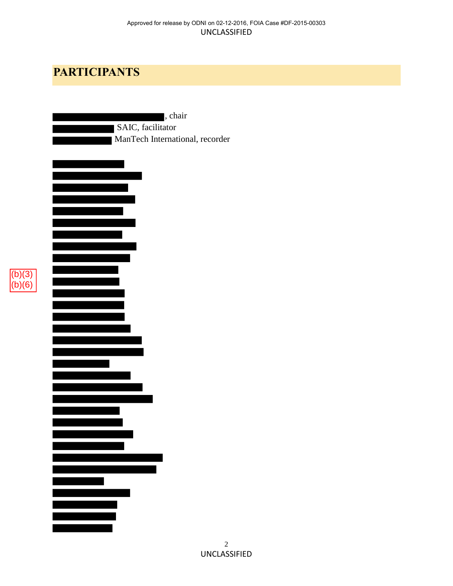# <span id="page-4-0"></span>**PARTICIPANTS**

 $(b)(3)$ (b)(6)

| , chair                         |
|---------------------------------|
| SAIC, facilitator               |
| ManTech International, recorder |
|                                 |
|                                 |
|                                 |
|                                 |
|                                 |
|                                 |
|                                 |
|                                 |
|                                 |
|                                 |
|                                 |
|                                 |
|                                 |
|                                 |
|                                 |
|                                 |
|                                 |
|                                 |
|                                 |
|                                 |
|                                 |
|                                 |
|                                 |
|                                 |
|                                 |
|                                 |
|                                 |
|                                 |
|                                 |
|                                 |
|                                 |
|                                 |
|                                 |
|                                 |
|                                 |
|                                 |
|                                 |
|                                 |
|                                 |
|                                 |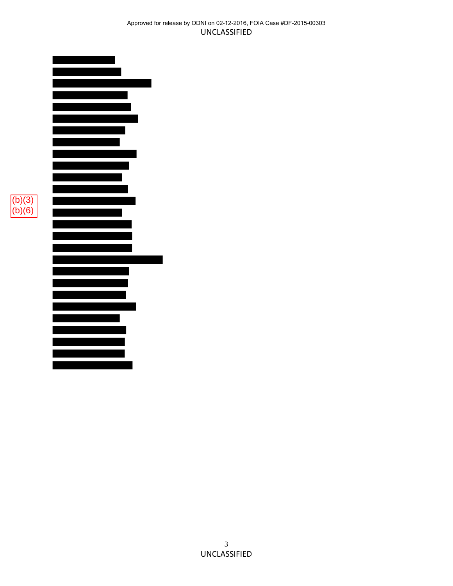#### UNCLASSIFIED Approved for release by ODNI on 02-12-2016, FOIA Case #DF-2015-00303



 $(b)(3)$  $(b)(6)$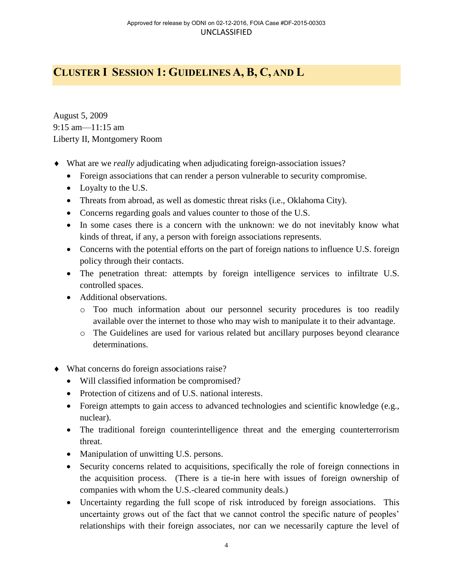# <span id="page-6-0"></span>**CLUSTER I SESSION 1: GUIDELINES A, B, C, AND L**

August 5, 2009 9:15 am—11:15 am Liberty II, Montgomery Room

- What are we *really* adjudicating when adjudicating foreign-association issues?
	- Foreign associations that can render a person vulnerable to security compromise.
	- Loyalty to the U.S.
	- Threats from abroad, as well as domestic threat risks (i.e., Oklahoma City).
	- Concerns regarding goals and values counter to those of the U.S.
	- In some cases there is a concern with the unknown: we do not inevitably know what kinds of threat, if any, a person with foreign associations represents.
	- Concerns with the potential efforts on the part of foreign nations to influence U.S. foreign policy through their contacts.
	- The penetration threat: attempts by foreign intelligence services to infiltrate U.S. controlled spaces.
	- Additional observations.
		- o Too much information about our personnel security procedures is too readily available over the internet to those who may wish to manipulate it to their advantage.
		- o The Guidelines are used for various related but ancillary purposes beyond clearance determinations.
- What concerns do foreign associations raise?
	- Will classified information be compromised?
	- Protection of citizens and of U.S. national interests.
	- Foreign attempts to gain access to advanced technologies and scientific knowledge (e.g., nuclear).
	- The traditional foreign counterintelligence threat and the emerging counterterrorism threat.
	- Manipulation of unwitting U.S. persons.
	- Security concerns related to acquisitions, specifically the role of foreign connections in the acquisition process. (There is a tie-in here with issues of foreign ownership of companies with whom the U.S.-cleared community deals.)
	- Uncertainty regarding the full scope of risk introduced by foreign associations. This uncertainty grows out of the fact that we cannot control the specific nature of peoples' relationships with their foreign associates, nor can we necessarily capture the level of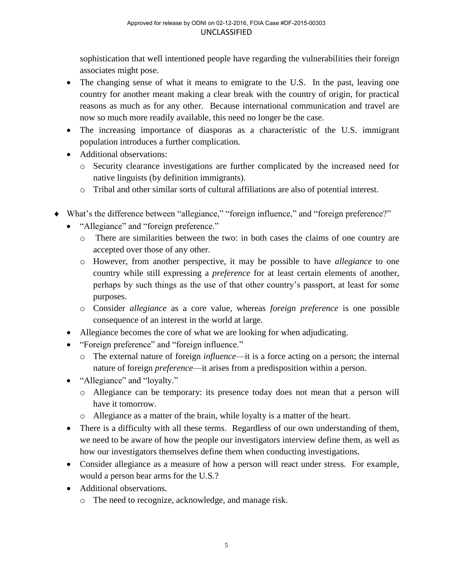sophistication that well intentioned people have regarding the vulnerabilities their foreign associates might pose.

- The changing sense of what it means to emigrate to the U.S. In the past, leaving one country for another meant making a clear break with the country of origin, for practical reasons as much as for any other. Because international communication and travel are now so much more readily available, this need no longer be the case.
- The increasing importance of diasporas as a characteristic of the U.S. immigrant population introduces a further complication.
- Additional observations:
	- o Security clearance investigations are further complicated by the increased need for native linguists (by definition immigrants).
	- o Tribal and other similar sorts of cultural affiliations are also of potential interest.
- What's the difference between "allegiance," "foreign influence," and "foreign preference?"
	- "Allegiance" and "foreign preference."
		- o There are similarities between the two: in both cases the claims of one country are accepted over those of any other.
		- o However, from another perspective, it may be possible to have *allegiance* to one country while still expressing a *preference* for at least certain elements of another, perhaps by such things as the use of that other country's passport, at least for some purposes.
		- o Consider *allegiance* as a core value, whereas *foreign preference* is one possible consequence of an interest in the world at large.
	- Allegiance becomes the core of what we are looking for when adjudicating.
	- "Foreign preference" and "foreign influence."
		- o The external nature of foreign *influence*—it is a force acting on a person; the internal nature of foreign *preference*—it arises from a predisposition within a person.
	- "Allegiance" and "loyalty."
		- o Allegiance can be temporary: its presence today does not mean that a person will have it tomorrow.
		- o Allegiance as a matter of the brain, while loyalty is a matter of the heart.
	- There is a difficulty with all these terms. Regardless of our own understanding of them, we need to be aware of how the people our investigators interview define them, as well as how our investigators themselves define them when conducting investigations.
	- Consider allegiance as a measure of how a person will react under stress. For example, would a person bear arms for the U.S.?
	- Additional observations.
		- o The need to recognize, acknowledge, and manage risk.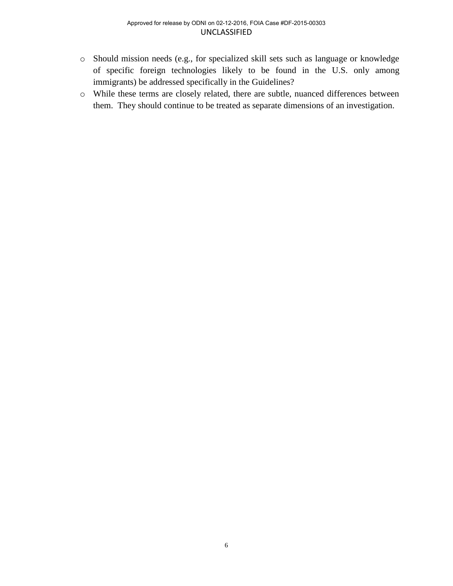- o Should mission needs (e.g., for specialized skill sets such as language or knowledge of specific foreign technologies likely to be found in the U.S. only among immigrants) be addressed specifically in the Guidelines?
- o While these terms are closely related, there are subtle, nuanced differences between them. They should continue to be treated as separate dimensions of an investigation.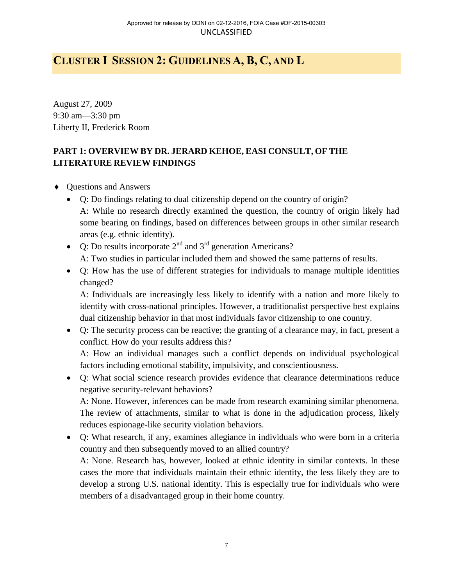# <span id="page-9-0"></span>**CLUSTER I SESSION 2: GUIDELINES A, B, C, AND L**

August 27, 2009 9:30 am—3:30 pm Liberty II, Frederick Room

### **PART 1: OVERVIEW BY DR. JERARD KEHOE, EASI CONSULT, OF THE LITERATURE REVIEW FINDINGS**

- Questions and Answers
	- Q: Do findings relating to dual citizenship depend on the country of origin? A: While no research directly examined the question, the country of origin likely had some bearing on findings, based on differences between groups in other similar research areas (e.g. ethnic identity).
	- Q: Do results incorporate  $2<sup>nd</sup>$  and  $3<sup>rd</sup>$  generation Americans? A: Two studies in particular included them and showed the same patterns of results.
	- Q: How has the use of different strategies for individuals to manage multiple identities changed?

A: Individuals are increasingly less likely to identify with a nation and more likely to identify with cross-national principles. However, a traditionalist perspective best explains dual citizenship behavior in that most individuals favor citizenship to one country.

 Q: The security process can be reactive; the granting of a clearance may, in fact, present a conflict. How do your results address this?

A: How an individual manages such a conflict depends on individual psychological factors including emotional stability, impulsivity, and conscientiousness.

 Q: What social science research provides evidence that clearance determinations reduce negative security-relevant behaviors?

A: None. However, inferences can be made from research examining similar phenomena. The review of attachments, similar to what is done in the adjudication process, likely reduces espionage-like security violation behaviors.

 Q: What research, if any, examines allegiance in individuals who were born in a criteria country and then subsequently moved to an allied country?

A: None. Research has, however, looked at ethnic identity in similar contexts. In these cases the more that individuals maintain their ethnic identity, the less likely they are to develop a strong U.S. national identity. This is especially true for individuals who were members of a disadvantaged group in their home country.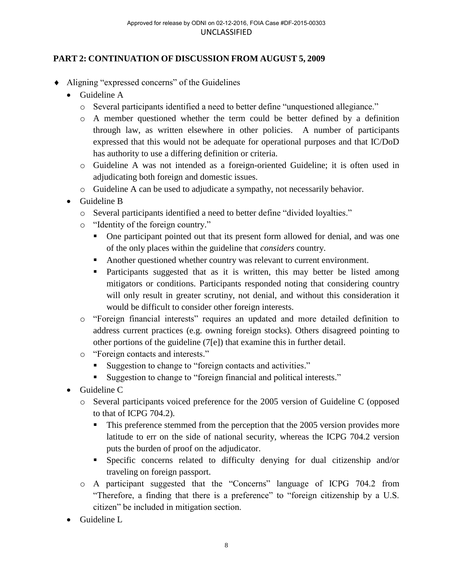### **PART 2: CONTINUATION OF DISCUSSION FROM AUGUST 5, 2009**

- Aligning "expressed concerns" of the Guidelines
	- Guideline A
		- o Several participants identified a need to better define "unquestioned allegiance."
		- o A member questioned whether the term could be better defined by a definition through law, as written elsewhere in other policies. A number of participants expressed that this would not be adequate for operational purposes and that IC/DoD has authority to use a differing definition or criteria.
		- o Guideline A was not intended as a foreign-oriented Guideline; it is often used in adjudicating both foreign and domestic issues.
		- o Guideline A can be used to adjudicate a sympathy, not necessarily behavior.
	- Guideline B
		- o Several participants identified a need to better define "divided loyalties."
		- o "Identity of the foreign country."
			- One participant pointed out that its present form allowed for denial, and was one of the only places within the guideline that *considers* country.
			- Another questioned whether country was relevant to current environment.
			- Participants suggested that as it is written, this may better be listed among mitigators or conditions. Participants responded noting that considering country will only result in greater scrutiny, not denial, and without this consideration it would be difficult to consider other foreign interests.
		- o "Foreign financial interests" requires an updated and more detailed definition to address current practices (e.g. owning foreign stocks). Others disagreed pointing to other portions of the guideline (7[e]) that examine this in further detail.
		- o "Foreign contacts and interests."
			- Suggestion to change to "foreign contacts and activities."
			- Suggestion to change to "foreign financial and political interests."
	- Guideline C
		- o Several participants voiced preference for the 2005 version of Guideline C (opposed to that of ICPG 704.2).
			- This preference stemmed from the perception that the 2005 version provides more latitude to err on the side of national security, whereas the ICPG 704.2 version puts the burden of proof on the adjudicator.
			- Specific concerns related to difficulty denying for dual citizenship and/or traveling on foreign passport.
		- o A participant suggested that the "Concerns" language of ICPG 704.2 from "Therefore, a finding that there is a preference" to "foreign citizenship by a U.S. citizen" be included in mitigation section.
	- Guideline L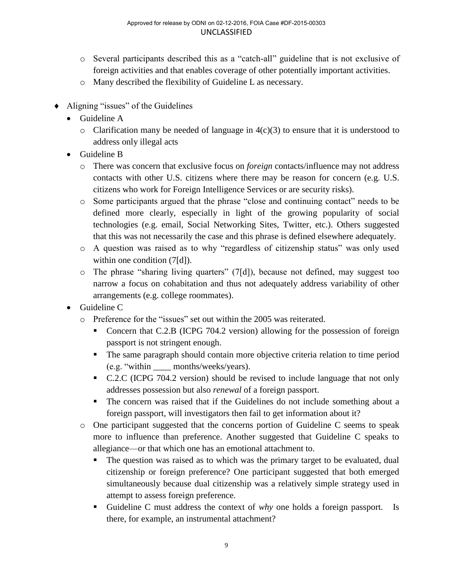- o Several participants described this as a "catch-all" guideline that is not exclusive of foreign activities and that enables coverage of other potentially important activities.
- o Many described the flexibility of Guideline L as necessary.
- Aligning "issues" of the Guidelines
	- Guideline A
		- $\circ$  Clarification many be needed of language in 4(c)(3) to ensure that it is understood to address only illegal acts
	- Guideline B
		- o There was concern that exclusive focus on *foreign* contacts/influence may not address contacts with other U.S. citizens where there may be reason for concern (e.g. U.S. citizens who work for Foreign Intelligence Services or are security risks).
		- o Some participants argued that the phrase "close and continuing contact" needs to be defined more clearly, especially in light of the growing popularity of social technologies (e.g. email, Social Networking Sites, Twitter, etc.). Others suggested that this was not necessarily the case and this phrase is defined elsewhere adequately.
		- o A question was raised as to why "regardless of citizenship status" was only used within one condition  $(7[d])$ .
		- $\circ$  The phrase "sharing living quarters" (7[d]), because not defined, may suggest too narrow a focus on cohabitation and thus not adequately address variability of other arrangements (e.g. college roommates).
	- Guideline C
		- o Preference for the "issues" set out within the 2005 was reiterated.
			- Concern that C.2.B (ICPG 704.2 version) allowing for the possession of foreign passport is not stringent enough.
			- The same paragraph should contain more objective criteria relation to time period (e.g. "within \_\_\_\_ months/weeks/years).
			- C.2.C (ICPG 704.2 version) should be revised to include language that not only addresses possession but also *renewal* of a foreign passport.
			- The concern was raised that if the Guidelines do not include something about a foreign passport, will investigators then fail to get information about it?
		- o One participant suggested that the concerns portion of Guideline C seems to speak more to influence than preference. Another suggested that Guideline C speaks to allegiance—or that which one has an emotional attachment to.
			- The question was raised as to which was the primary target to be evaluated, dual citizenship or foreign preference? One participant suggested that both emerged simultaneously because dual citizenship was a relatively simple strategy used in attempt to assess foreign preference.
			- Guideline C must address the context of *why* one holds a foreign passport. Is there, for example, an instrumental attachment?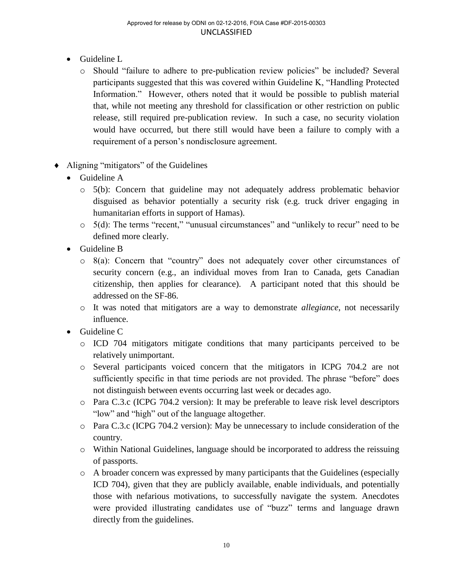- Guideline L
	- o Should "failure to adhere to pre-publication review policies" be included? Several participants suggested that this was covered within Guideline K, "Handling Protected Information." However, others noted that it would be possible to publish material that, while not meeting any threshold for classification or other restriction on public release, still required pre-publication review. In such a case, no security violation would have occurred, but there still would have been a failure to comply with a requirement of a person's nondisclosure agreement.
- Aligning "mitigators" of the Guidelines
	- Guideline A
		- $\circ$  5(b): Concern that guideline may not adequately address problematic behavior disguised as behavior potentially a security risk (e.g. truck driver engaging in humanitarian efforts in support of Hamas).
		- o 5(d): The terms "recent," "unusual circumstances" and "unlikely to recur" need to be defined more clearly.
	- Guideline B
		- o 8(a): Concern that "country" does not adequately cover other circumstances of security concern (e.g., an individual moves from Iran to Canada, gets Canadian citizenship, then applies for clearance). A participant noted that this should be addressed on the SF-86.
		- o It was noted that mitigators are a way to demonstrate *allegiance*, not necessarily influence.
	- Guideline C
		- o ICD 704 mitigators mitigate conditions that many participants perceived to be relatively unimportant.
		- o Several participants voiced concern that the mitigators in ICPG 704.2 are not sufficiently specific in that time periods are not provided. The phrase "before" does not distinguish between events occurring last week or decades ago.
		- o Para C.3.c (ICPG 704.2 version): It may be preferable to leave risk level descriptors "low" and "high" out of the language altogether.
		- o Para C.3.c (ICPG 704.2 version): May be unnecessary to include consideration of the country.
		- o Within National Guidelines, language should be incorporated to address the reissuing of passports.
		- o A broader concern was expressed by many participants that the Guidelines (especially ICD 704), given that they are publicly available, enable individuals, and potentially those with nefarious motivations, to successfully navigate the system. Anecdotes were provided illustrating candidates use of "buzz" terms and language drawn directly from the guidelines.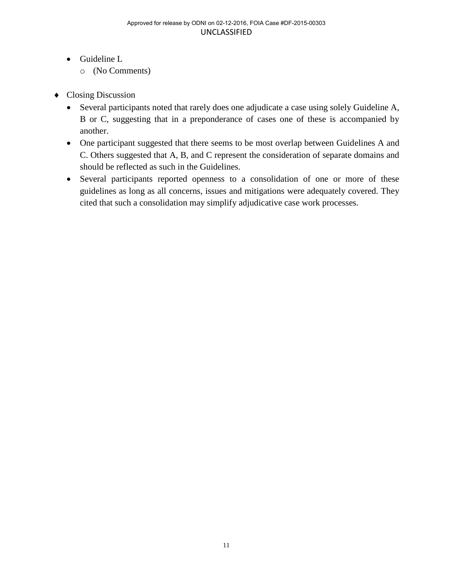- Guideline L
	- o (No Comments)
- Closing Discussion
	- Several participants noted that rarely does one adjudicate a case using solely Guideline A, B or C, suggesting that in a preponderance of cases one of these is accompanied by another.
	- One participant suggested that there seems to be most overlap between Guidelines A and C. Others suggested that A, B, and C represent the consideration of separate domains and should be reflected as such in the Guidelines.
	- Several participants reported openness to a consolidation of one or more of these guidelines as long as all concerns, issues and mitigations were adequately covered. They cited that such a consolidation may simplify adjudicative case work processes.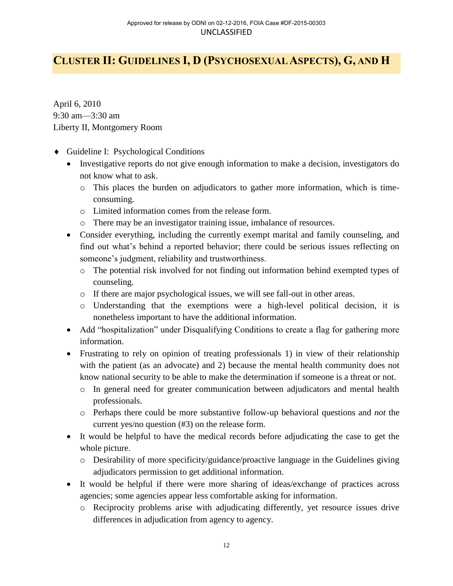# <span id="page-14-0"></span>**CLUSTER II: GUIDELINES I, D (PSYCHOSEXUAL ASPECTS), G, AND H**

April 6, 2010 9:30 am—3:30 am Liberty II, Montgomery Room

- Guideline I: Psychological Conditions
	- Investigative reports do not give enough information to make a decision, investigators do not know what to ask.
		- o This places the burden on adjudicators to gather more information, which is timeconsuming.
		- o Limited information comes from the release form.
		- o There may be an investigator training issue, imbalance of resources.
	- Consider everything, including the currently exempt marital and family counseling, and find out what's behind a reported behavior; there could be serious issues reflecting on someone's judgment, reliability and trustworthiness.
		- o The potential risk involved for not finding out information behind exempted types of counseling.
		- o If there are major psychological issues, we will see fall-out in other areas.
		- o Understanding that the exemptions were a high-level political decision, it is nonetheless important to have the additional information.
	- Add "hospitalization" under Disqualifying Conditions to create a flag for gathering more information.
	- Frustrating to rely on opinion of treating professionals 1) in view of their relationship with the patient (as an advocate) and 2) because the mental health community does not know national security to be able to make the determination if someone is a threat or not.
		- o In general need for greater communication between adjudicators and mental health professionals.
		- o Perhaps there could be more substantive follow-up behavioral questions and *not* the current yes/no question (#3) on the release form.
	- It would be helpful to have the medical records before adjudicating the case to get the whole picture.
		- o Desirability of more specificity/guidance/proactive language in the Guidelines giving adjudicators permission to get additional information.
	- It would be helpful if there were more sharing of ideas/exchange of practices across agencies; some agencies appear less comfortable asking for information.
		- o Reciprocity problems arise with adjudicating differently, yet resource issues drive differences in adjudication from agency to agency.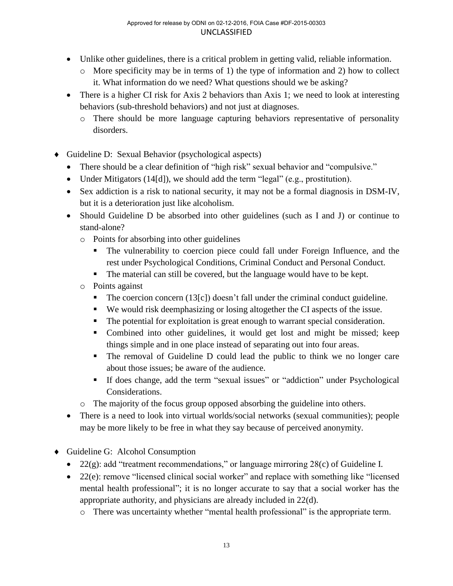- Unlike other guidelines, there is a critical problem in getting valid, reliable information.
	- $\circ$  More specificity may be in terms of 1) the type of information and 2) how to collect it. What information do we need? What questions should we be asking?
- There is a higher CI risk for Axis 2 behaviors than Axis 1; we need to look at interesting behaviors (sub-threshold behaviors) and not just at diagnoses.
	- o There should be more language capturing behaviors representative of personality disorders.
- Guideline D: Sexual Behavior (psychological aspects)
	- There should be a clear definition of "high risk" sexual behavior and "compulsive."
	- Under Mitigators (14[d]), we should add the term "legal" (e.g., prostitution).
	- Sex addiction is a risk to national security, it may not be a formal diagnosis in DSM-IV, but it is a deterioration just like alcoholism.
	- Should Guideline D be absorbed into other guidelines (such as I and J) or continue to stand-alone?
		- o Points for absorbing into other guidelines
			- The vulnerability to coercion piece could fall under Foreign Influence, and the rest under Psychological Conditions, Criminal Conduct and Personal Conduct.
			- The material can still be covered, but the language would have to be kept.
		- o Points against
			- The coercion concern  $(13[c])$  doesn't fall under the criminal conduct guideline.
			- We would risk deemphasizing or losing altogether the CI aspects of the issue.
			- The potential for exploitation is great enough to warrant special consideration.
			- Combined into other guidelines, it would get lost and might be missed; keep things simple and in one place instead of separating out into four areas.
			- The removal of Guideline D could lead the public to think we no longer care about those issues; be aware of the audience.
			- If does change, add the term "sexual issues" or "addiction" under Psychological Considerations.
		- o The majority of the focus group opposed absorbing the guideline into others.
	- There is a need to look into virtual worlds/social networks (sexual communities); people may be more likely to be free in what they say because of perceived anonymity.
- ◆ Guideline G: Alcohol Consumption
	- 22(g): add "treatment recommendations," or language mirroring 28(c) of Guideline I.
	- 22(e): remove "licensed clinical social worker" and replace with something like "licensed" mental health professional"; it is no longer accurate to say that a social worker has the appropriate authority, and physicians are already included in 22(d).
		- o There was uncertainty whether "mental health professional" is the appropriate term.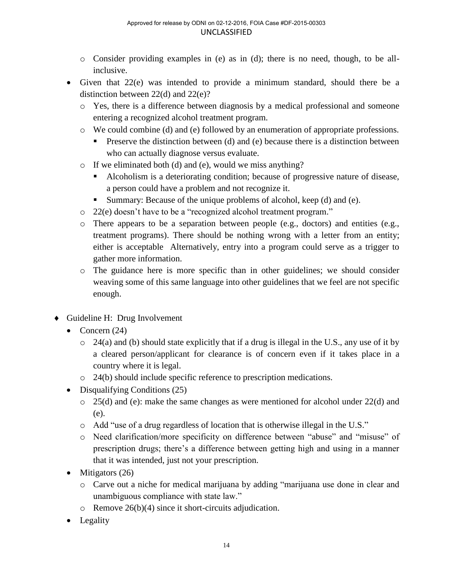- o Consider providing examples in (e) as in (d); there is no need, though, to be allinclusive.
- Given that 22(e) was intended to provide a minimum standard, should there be a distinction between 22(d) and 22(e)?
	- o Yes, there is a difference between diagnosis by a medical professional and someone entering a recognized alcohol treatment program.
	- o We could combine (d) and (e) followed by an enumeration of appropriate professions.
		- **Preserve the distinction between (d) and (e) because there is a distinction between** who can actually diagnose versus evaluate.
	- o If we eliminated both (d) and (e), would we miss anything?
		- Alcoholism is a deteriorating condition; because of progressive nature of disease, a person could have a problem and not recognize it.
		- Summary: Because of the unique problems of alcohol, keep (d) and (e).
	- o 22(e) doesn't have to be a "recognized alcohol treatment program."
	- o There appears to be a separation between people (e.g., doctors) and entities (e.g., treatment programs). There should be nothing wrong with a letter from an entity; either is acceptable Alternatively, entry into a program could serve as a trigger to gather more information.
	- o The guidance here is more specific than in other guidelines; we should consider weaving some of this same language into other guidelines that we feel are not specific enough.
- Guideline H: Drug Involvement
	- Concern  $(24)$ 
		- $\circ$  24(a) and (b) should state explicitly that if a drug is illegal in the U.S., any use of it by a cleared person/applicant for clearance is of concern even if it takes place in a country where it is legal.
		- o 24(b) should include specific reference to prescription medications.
	- Disqualifying Conditions (25)
		- o 25(d) and (e): make the same changes as were mentioned for alcohol under 22(d) and (e).
		- o Add "use of a drug regardless of location that is otherwise illegal in the U.S."
		- o Need clarification/more specificity on difference between "abuse" and "misuse" of prescription drugs; there's a difference between getting high and using in a manner that it was intended, just not your prescription.
	- $\bullet$  Mitigators (26)
		- o Carve out a niche for medical marijuana by adding "marijuana use done in clear and unambiguous compliance with state law."
		- $\circ$  Remove 26(b)(4) since it short-circuits adjudication.
	- Legality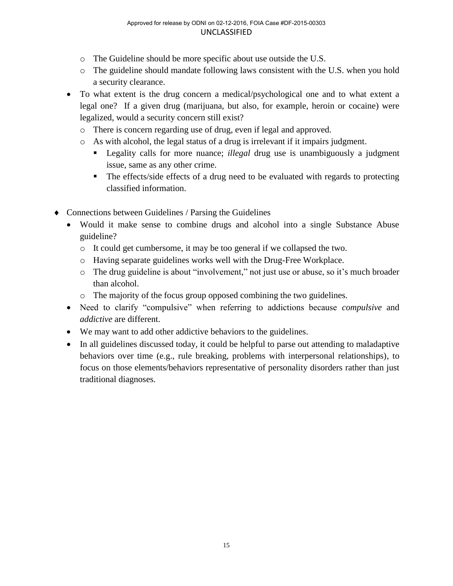- o The Guideline should be more specific about use outside the U.S.
- o The guideline should mandate following laws consistent with the U.S. when you hold a security clearance.
- To what extent is the drug concern a medical/psychological one and to what extent a legal one? If a given drug (marijuana, but also, for example, heroin or cocaine) were legalized, would a security concern still exist?
	- o There is concern regarding use of drug, even if legal and approved.
	- o As with alcohol, the legal status of a drug is irrelevant if it impairs judgment.
		- Legality calls for more nuance; *illegal* drug use is unambiguously a judgment issue, same as any other crime.
		- The effects/side effects of a drug need to be evaluated with regards to protecting classified information.
- Connections between Guidelines / Parsing the Guidelines
	- Would it make sense to combine drugs and alcohol into a single Substance Abuse guideline?
		- o It could get cumbersome, it may be too general if we collapsed the two.
		- o Having separate guidelines works well with the Drug-Free Workplace.
		- o The drug guideline is about "involvement," not just use or abuse, so it's much broader than alcohol.
		- o The majority of the focus group opposed combining the two guidelines.
	- Need to clarify "compulsive" when referring to addictions because *compulsive* and *addictive* are different.
	- We may want to add other addictive behaviors to the guidelines.
	- In all guidelines discussed today, it could be helpful to parse out attending to maladaptive behaviors over time (e.g., rule breaking, problems with interpersonal relationships), to focus on those elements/behaviors representative of personality disorders rather than just traditional diagnoses.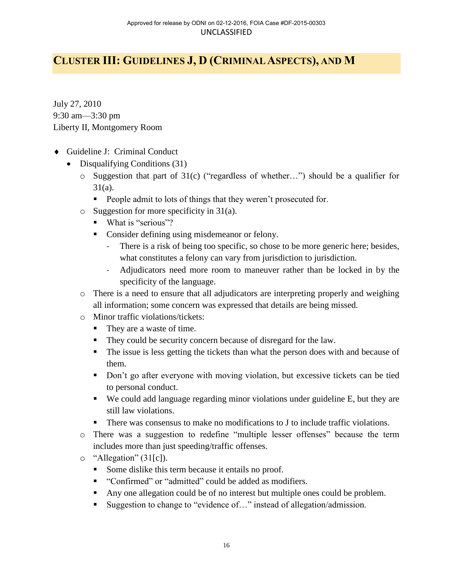# <span id="page-18-0"></span>**CLUSTER III: GUIDELINES J, D (CRIMINAL ASPECTS), AND M**

July 27, 2010 9:30 am—3:30 pm Liberty II, Montgomery Room

- Guideline J: Criminal Conduct
	- Disqualifying Conditions (31)
		- o Suggestion that part of 31(c) ("regardless of whether…") should be a qualifier for 31(a).
			- **People admit to lots of things that they weren't prosecuted for.**
		- $\circ$  Suggestion for more specificity in 31(a).
			- What is "serious"?
			- Consider defining using misdemeanor or felony.
				- There is a risk of being too specific, so chose to be more generic here; besides, what constitutes a felony can vary from jurisdiction to jurisdiction.
				- Adjudicators need more room to maneuver rather than be locked in by the specificity of the language.
		- o There is a need to ensure that all adjudicators are interpreting properly and weighing all information; some concern was expressed that details are being missed.
		- o Minor traffic violations/tickets:
			- They are a waste of time.
			- They could be security concern because of disregard for the law.
			- The issue is less getting the tickets than what the person does with and because of them.
			- Don't go after everyone with moving violation, but excessive tickets can be tied to personal conduct.
			- We could add language regarding minor violations under guideline E, but they are still law violations.
			- There was consensus to make no modifications to J to include traffic violations.
		- o There was a suggestion to redefine "multiple lesser offenses" because the term includes more than just speeding/traffic offenses.
		- $\circ$  "Allegation" (31[c]).
			- Some dislike this term because it entails no proof.
			- **•** "Confirmed" or "admitted" could be added as modifiers.
			- Any one allegation could be of no interest but multiple ones could be problem.
			- Suggestion to change to "evidence of..." instead of allegation/admission.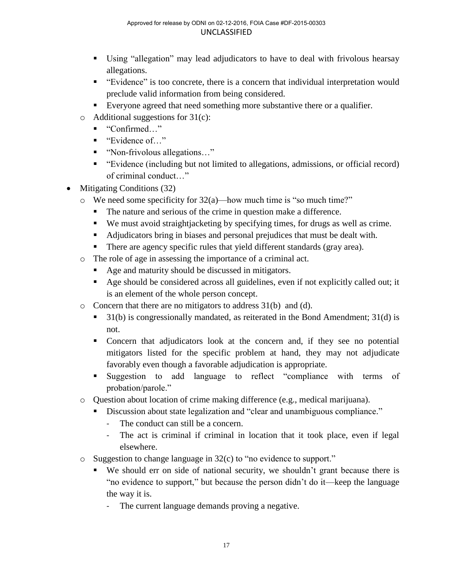- Using "allegation" may lead adjudicators to have to deal with frivolous hearsay allegations.
- "Evidence" is too concrete, there is a concern that individual interpretation would preclude valid information from being considered.
- Everyone agreed that need something more substantive there or a qualifier.
- $\circ$  Additional suggestions for 31(c):
	- "Confirmed..."
	- "Evidence of..."
	- "Non-frivolous allegations..."
	- "Evidence (including but not limited to allegations, admissions, or official record) of criminal conduct…"
- Mitigating Conditions (32)
	- o We need some specificity for 32(a)—how much time is "so much time?"
		- The nature and serious of the crime in question make a difference.
		- We must avoid straightjacketing by specifying times, for drugs as well as crime.
		- Adjudicators bring in biases and personal prejudices that must be dealt with.
		- There are agency specific rules that yield different standards (gray area).
	- o The role of age in assessing the importance of a criminal act.
		- Age and maturity should be discussed in mitigators.
		- Age should be considered across all guidelines, even if not explicitly called out; it is an element of the whole person concept.
	- o Concern that there are no mitigators to address 31(b) and (d).
		- $\blacksquare$  31(b) is congressionally mandated, as reiterated in the Bond Amendment; 31(d) is not.
		- Concern that adjudicators look at the concern and, if they see no potential mitigators listed for the specific problem at hand, they may not adjudicate favorably even though a favorable adjudication is appropriate.
		- Suggestion to add language to reflect "compliance with terms of probation/parole."
	- $\circ$  Ouestion about location of crime making difference (e.g., medical marijuana).
		- Discussion about state legalization and "clear and unambiguous compliance."
			- The conduct can still be a concern.
			- The act is criminal if criminal in location that it took place, even if legal elsewhere.
	- o Suggestion to change language in 32(c) to "no evidence to support."
		- We should err on side of national security, we shouldn't grant because there is "no evidence to support," but because the person didn't do it—keep the language the way it is.
			- The current language demands proving a negative.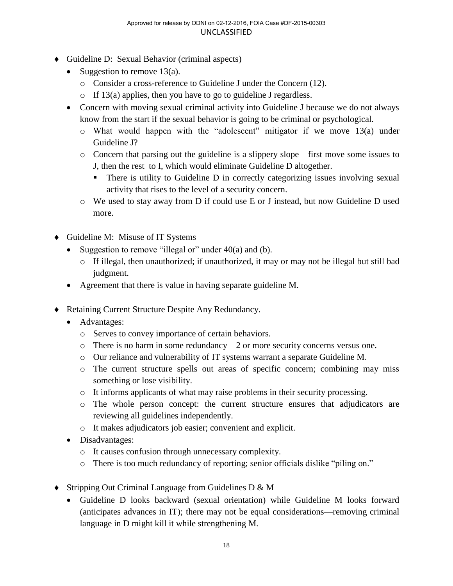- Guideline D: Sexual Behavior (criminal aspects)
	- Suggestion to remove  $13(a)$ .
		- o Consider a cross-reference to Guideline J under the Concern (12).
		- o If 13(a) applies, then you have to go to guideline J regardless.
	- Concern with moving sexual criminal activity into Guideline J because we do not always know from the start if the sexual behavior is going to be criminal or psychological.
		- o What would happen with the "adolescent" mitigator if we move 13(a) under Guideline J?
		- o Concern that parsing out the guideline is a slippery slope—first move some issues to J, then the rest to I, which would eliminate Guideline D altogether.
			- There is utility to Guideline D in correctly categorizing issues involving sexual activity that rises to the level of a security concern.
		- o We used to stay away from D if could use E or J instead, but now Guideline D used more.
- Guideline M: Misuse of IT Systems
	- Suggestion to remove "illegal or" under  $40(a)$  and (b).
		- $\circ$  If illegal, then unauthorized; if unauthorized, it may or may not be illegal but still bad judgment.
	- Agreement that there is value in having separate guideline M.
- Retaining Current Structure Despite Any Redundancy.
	- Advantages:
		- o Serves to convey importance of certain behaviors.
		- o There is no harm in some redundancy—2 or more security concerns versus one.
		- o Our reliance and vulnerability of IT systems warrant a separate Guideline M.
		- o The current structure spells out areas of specific concern; combining may miss something or lose visibility.
		- o It informs applicants of what may raise problems in their security processing.
		- o The whole person concept: the current structure ensures that adjudicators are reviewing all guidelines independently.
		- o It makes adjudicators job easier; convenient and explicit.
	- Disadvantages:
		- o It causes confusion through unnecessary complexity.
		- o There is too much redundancy of reporting; senior officials dislike "piling on."
- ◆ Stripping Out Criminal Language from Guidelines D & M
	- Guideline D looks backward (sexual orientation) while Guideline M looks forward (anticipates advances in IT); there may not be equal considerations—removing criminal language in D might kill it while strengthening M.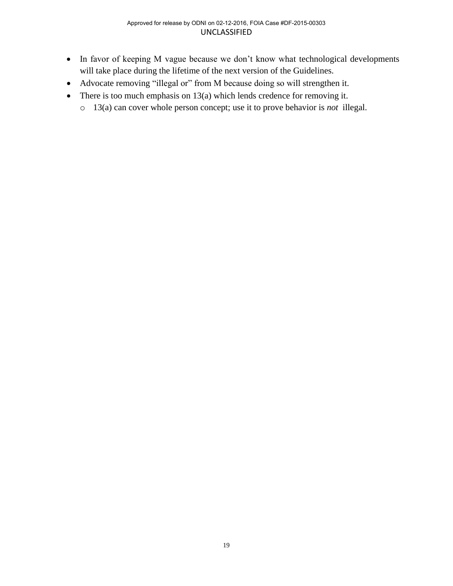- In favor of keeping M vague because we don't know what technological developments will take place during the lifetime of the next version of the Guidelines.
- Advocate removing "illegal or" from M because doing so will strengthen it.
- There is too much emphasis on  $13(a)$  which lends credence for removing it.
	- o 13(a) can cover whole person concept; use it to prove behavior is *not* illegal.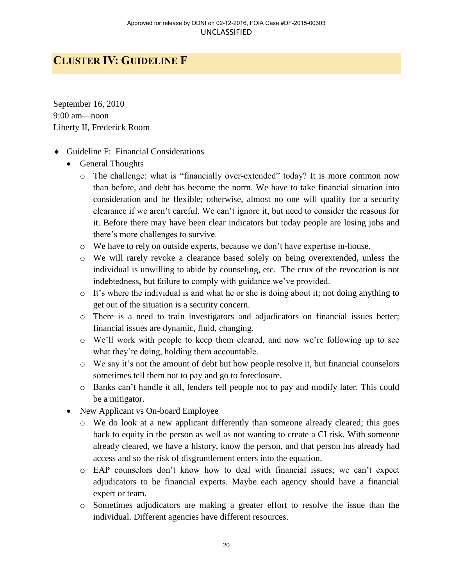## <span id="page-22-0"></span>**CLUSTER IV: GUIDELINE F**

September 16, 2010 9:00 am—noon Liberty II, Frederick Room

- Guideline F: Financial Considerations
	- General Thoughts
		- o The challenge: what is "financially over-extended" today? It is more common now than before, and debt has become the norm. We have to take financial situation into consideration and be flexible; otherwise, almost no one will qualify for a security clearance if we aren't careful. We can't ignore it, but need to consider the reasons for it. Before there may have been clear indicators but today people are losing jobs and there's more challenges to survive.
		- o We have to rely on outside experts, because we don't have expertise in-house.
		- o We will rarely revoke a clearance based solely on being overextended, unless the individual is unwilling to abide by counseling, etc. The crux of the revocation is not indebtedness, but failure to comply with guidance we've provided.
		- o It's where the individual is and what he or she is doing about it; not doing anything to get out of the situation is a security concern.
		- o There is a need to train investigators and adjudicators on financial issues better; financial issues are dynamic, fluid, changing.
		- o We'll work with people to keep them cleared, and now we're following up to see what they're doing, holding them accountable.
		- o We say it's not the amount of debt but how people resolve it, but financial counselors sometimes tell them not to pay and go to foreclosure.
		- o Banks can't handle it all, lenders tell people not to pay and modify later. This could be a mitigator.
	- New Applicant vs On-board Employee
		- o We do look at a new applicant differently than someone already cleared; this goes back to equity in the person as well as not wanting to create a CI risk. With someone already cleared, we have a history, know the person, and that person has already had access and so the risk of disgruntlement enters into the equation.
		- o EAP counselors don't know how to deal with financial issues; we can't expect adjudicators to be financial experts. Maybe each agency should have a financial expert or team.
		- o Sometimes adjudicators are making a greater effort to resolve the issue than the individual. Different agencies have different resources.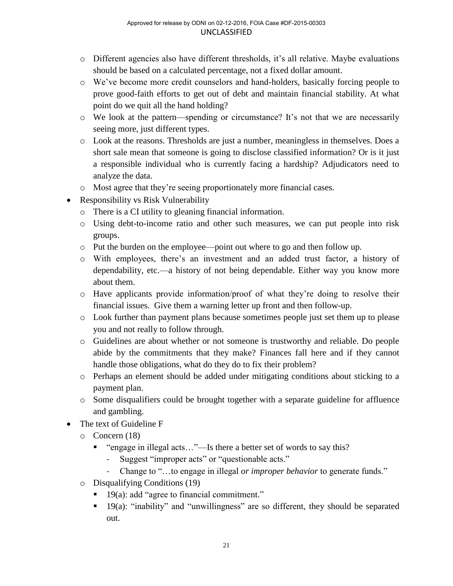- o Different agencies also have different thresholds, it's all relative. Maybe evaluations should be based on a calculated percentage, not a fixed dollar amount.
- o We've become more credit counselors and hand-holders, basically forcing people to prove good-faith efforts to get out of debt and maintain financial stability. At what point do we quit all the hand holding?
- o We look at the pattern—spending or circumstance? It's not that we are necessarily seeing more, just different types.
- o Look at the reasons. Thresholds are just a number, meaningless in themselves. Does a short sale mean that someone is going to disclose classified information? Or is it just a responsible individual who is currently facing a hardship? Adjudicators need to analyze the data.
- o Most agree that they're seeing proportionately more financial cases.
- Responsibility vs Risk Vulnerability
	- o There is a CI utility to gleaning financial information.
	- o Using debt-to-income ratio and other such measures, we can put people into risk groups.
	- o Put the burden on the employee—point out where to go and then follow up.
	- o With employees, there's an investment and an added trust factor, a history of dependability, etc.—a history of not being dependable. Either way you know more about them.
	- o Have applicants provide information/proof of what they're doing to resolve their financial issues. Give them a warning letter up front and then follow-up.
	- o Look further than payment plans because sometimes people just set them up to please you and not really to follow through.
	- o Guidelines are about whether or not someone is trustworthy and reliable. Do people abide by the commitments that they make? Finances fall here and if they cannot handle those obligations, what do they do to fix their problem?
	- o Perhaps an element should be added under mitigating conditions about sticking to a payment plan.
	- o Some disqualifiers could be brought together with a separate guideline for affluence and gambling.
- The text of Guideline F
	- o Concern (18)
		- "engage in illegal acts..."—Is there a better set of words to say this?
			- Suggest "improper acts" or "questionable acts."
			- Change to "…to engage in illegal *or improper behavior* to generate funds."
	- o Disqualifying Conditions (19)
		- 19(a): add "agree to financial commitment."
		- <sup>19(a):</sup> "inability" and "unwillingness" are so different, they should be separated out.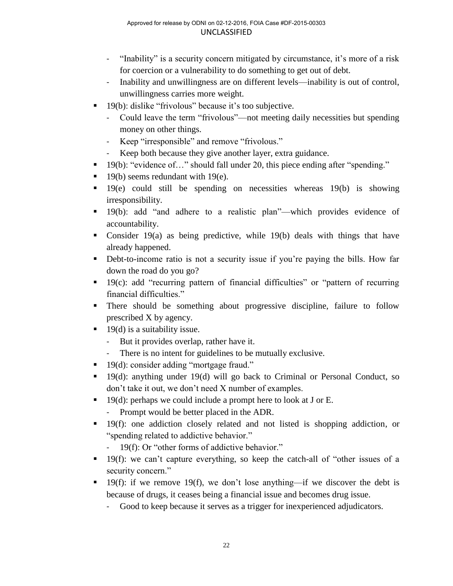- "Inability" is a security concern mitigated by circumstance, it's more of a risk for coercion or a vulnerability to do something to get out of debt.
- Inability and unwillingness are on different levels—inability is out of control, unwillingness carries more weight.
- 19(b): dislike "frivolous" because it's too subjective.
	- Could leave the term "frivolous"—not meeting daily necessities but spending money on other things.
	- Keep "irresponsible" and remove "frivolous."
	- Keep both because they give another layer, extra guidance.
- 19(b): "evidence of..." should fall under 20, this piece ending after "spending."
- $\blacksquare$  19(b) seems redundant with 19(e).
- $19(e)$  could still be spending on necessities whereas  $19(b)$  is showing irresponsibility.
- 19(b): add "and adhere to a realistic plan"—which provides evidence of accountability.
- Consider 19(a) as being predictive, while 19(b) deals with things that have already happened.
- Debt-to-income ratio is not a security issue if you're paying the bills. How far down the road do you go?
- $19(c)$ : add "recurring pattern of financial difficulties" or "pattern of recurring financial difficulties."
- There should be something about progressive discipline, failure to follow prescribed X by agency.
- $\blacksquare$  19(d) is a suitability issue.
	- But it provides overlap, rather have it.
	- There is no intent for guidelines to be mutually exclusive.
- 19(d): consider adding "mortgage fraud."
- 19(d): anything under 19(d) will go back to Criminal or Personal Conduct, so don't take it out, we don't need X number of examples.
- $\blacksquare$  19(d): perhaps we could include a prompt here to look at J or E.
	- Prompt would be better placed in the ADR.
- 19(f): one addiction closely related and not listed is shopping addiction, or "spending related to addictive behavior."
	- 19(f): Or "other forms of addictive behavior."
- 19(f): we can't capture everything, so keep the catch-all of "other issues of a security concern."
- 19(f): if we remove 19(f), we don't lose anything—if we discover the debt is because of drugs, it ceases being a financial issue and becomes drug issue.
	- Good to keep because it serves as a trigger for inexperienced adjudicators.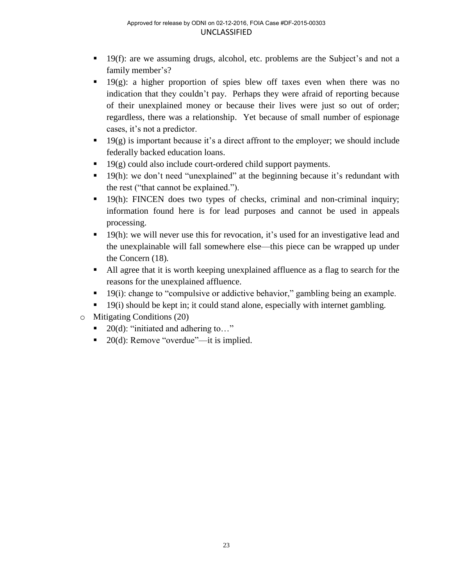- 19(f): are we assuming drugs, alcohol, etc. problems are the Subject's and not a family member's?
- $\blacksquare$  19(g): a higher proportion of spies blew off taxes even when there was no indication that they couldn't pay. Perhaps they were afraid of reporting because of their unexplained money or because their lives were just so out of order; regardless, there was a relationship. Yet because of small number of espionage cases, it's not a predictor.
- $19(g)$  is important because it's a direct affront to the employer; we should include federally backed education loans.
- $\blacksquare$  19(g) could also include court-ordered child support payments.
- 19(h): we don't need "unexplained" at the beginning because it's redundant with the rest ("that cannot be explained.").
- $19(h)$ : FINCEN does two types of checks, criminal and non-criminal inquiry; information found here is for lead purposes and cannot be used in appeals processing.
- 19(h): we will never use this for revocation, it's used for an investigative lead and the unexplainable will fall somewhere else—this piece can be wrapped up under the Concern (18)*.*
- All agree that it is worth keeping unexplained affluence as a flag to search for the reasons for the unexplained affluence.
- 19(i): change to "compulsive or addictive behavior," gambling being an example.
- 19(i) should be kept in; it could stand alone, especially with internet gambling.
- o Mitigating Conditions (20)
	- $\blacksquare$  20(d): "initiated and adhering to..."
	- $\blacksquare$  20(d): Remove "overdue"—it is implied.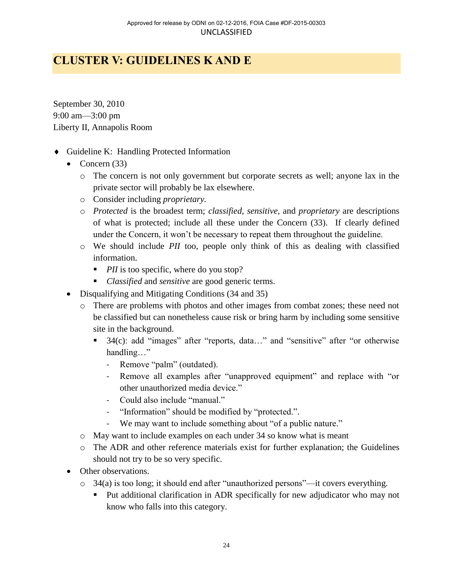# <span id="page-26-0"></span>**CLUSTER V: GUIDELINES K AND E**

September 30, 2010 9:00 am—3:00 pm Liberty II, Annapolis Room

- Guideline K: Handling Protected Information
	- Concern  $(33)$ 
		- o The concern is not only government but corporate secrets as well; anyone lax in the private sector will probably be lax elsewhere.
		- o Consider including *proprietary.*
		- o *Protected* is the broadest term; *classified*, *sensitive,* and *proprietary* are descriptions of what is protected; include all these under the Concern (33). If clearly defined under the Concern, it won't be necessary to repeat them throughout the guideline.
		- o We should include *PII* too, people only think of this as dealing with classified information.
			- *PII* is too specific, where do you stop?
			- *Classified* and *sensitive* are good generic terms.
	- Disqualifying and Mitigating Conditions (34 and 35)
		- o There are problems with photos and other images from combat zones; these need not be classified but can nonetheless cause risk or bring harm by including some sensitive site in the background.
			- 34(c): add "images" after "reports, data..." and "sensitive" after "or otherwise handling…"
				- Remove "palm" (outdated).
				- Remove all examples after "unapproved equipment" and replace with "or other unauthorized media device."
				- Could also include "manual."
				- "Information" should be modified by "protected.".
				- We may want to include something about "of a public nature."
		- o May want to include examples on each under 34 so know what is meant
		- o The ADR and other reference materials exist for further explanation; the Guidelines should not try to be so very specific.
	- Other observations.
		- o 34(a) is too long; it should end after "unauthorized persons"—it covers everything.
			- Put additional clarification in ADR specifically for new adjudicator who may not know who falls into this category.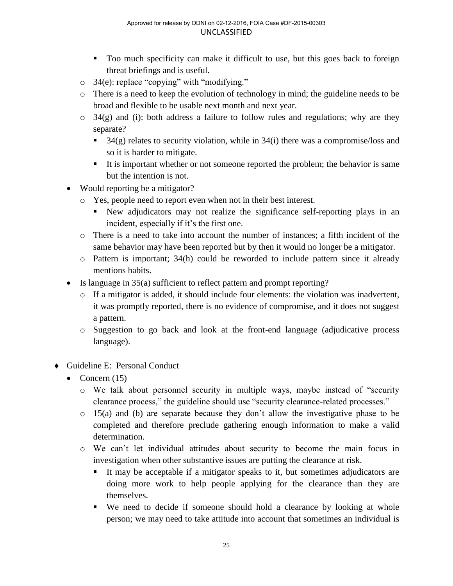- Too much specificity can make it difficult to use, but this goes back to foreign threat briefings and is useful.
- o 34(e): replace "copying" with "modifying."
- o There is a need to keep the evolution of technology in mind; the guideline needs to be broad and flexible to be usable next month and next year.
- $\circ$  34(g) and (i): both address a failure to follow rules and regulations; why are they separate?
	- $\blacksquare$  34(g) relates to security violation, while in 34(i) there was a compromise/loss and so it is harder to mitigate.
	- It is important whether or not someone reported the problem; the behavior is same but the intention is not.
- Would reporting be a mitigator?
	- o Yes, people need to report even when not in their best interest.
		- New adjudicators may not realize the significance self-reporting plays in an incident, especially if it's the first one.
	- o There is a need to take into account the number of instances; a fifth incident of the same behavior may have been reported but by then it would no longer be a mitigator.
	- o Pattern is important; 34(h) could be reworded to include pattern since it already mentions habits.
- Is language in 35(a) sufficient to reflect pattern and prompt reporting?
	- o If a mitigator is added, it should include four elements: the violation was inadvertent, it was promptly reported, there is no evidence of compromise, and it does not suggest a pattern.
	- o Suggestion to go back and look at the front-end language (adjudicative process language).
- Guideline E: Personal Conduct
	- Concern  $(15)$ 
		- o We talk about personnel security in multiple ways, maybe instead of "security clearance process," the guideline should use "security clearance-related processes."
		- o 15(a) and (b) are separate because they don't allow the investigative phase to be completed and therefore preclude gathering enough information to make a valid determination.
		- o We can't let individual attitudes about security to become the main focus in investigation when other substantive issues are putting the clearance at risk.
			- It may be acceptable if a mitigator speaks to it, but sometimes adjudicators are doing more work to help people applying for the clearance than they are themselves.
			- We need to decide if someone should hold a clearance by looking at whole person; we may need to take attitude into account that sometimes an individual is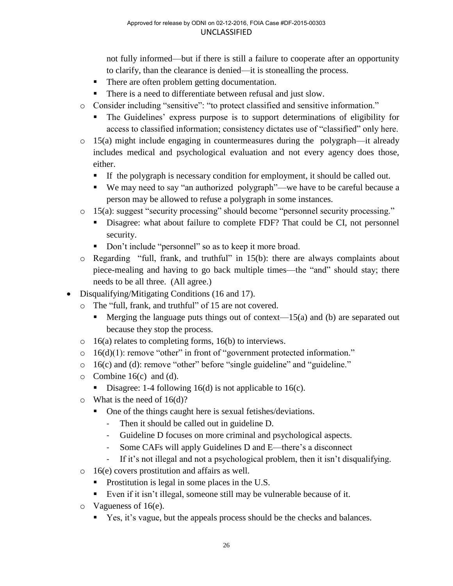not fully informed—but if there is still a failure to cooperate after an opportunity to clarify, than the clearance is denied—it is stonealling the process.

- There are often problem getting documentation.
- There is a need to differentiate between refusal and just slow.
- o Consider including "sensitive": "to protect classified and sensitive information."
	- The Guidelines' express purpose is to support determinations of eligibility for access to classified information; consistency dictates use of "classified" only here.
- $\circ$  15(a) might include engaging in countermeasures during the polygraph—it already includes medical and psychological evaluation and not every agency does those, either.
	- If the polygraph is necessary condition for employment, it should be called out.
	- We may need to say "an authorized polygraph"—we have to be careful because a person may be allowed to refuse a polygraph in some instances.
- o 15(a): suggest "security processing" should become "personnel security processing."
	- Disagree: what about failure to complete FDF? That could be CI, not personnel security.
	- Don't include "personnel" so as to keep it more broad.
- o Regarding "full, frank, and truthful" in 15(b): there are always complaints about piece-mealing and having to go back multiple times—the "and" should stay; there needs to be all three. (All agree.)
- Disqualifying/Mitigating Conditions (16 and 17).
	- o The "full, frank, and truthful" of 15 are not covered.
		- **Merging the language puts things out of context—15(a) and (b) are separated out** because they stop the process.
	- o 16(a) relates to completing forms, 16(b) to interviews.
	- $\circ$  16(d)(1): remove "other" in front of "government protected information."
	- o 16(c) and (d): remove "other" before "single guideline" and "guideline."
	- $\circ$  Combine 16(c) and (d).
		- Disagree: 1-4 following 16(d) is not applicable to 16(c).
	- $\circ$  What is the need of 16(d)?
		- One of the things caught here is sexual fetishes/deviations.
			- Then it should be called out in guideline D.
			- Guideline D focuses on more criminal and psychological aspects.
			- Some CAFs will apply Guidelines D and E—there's a disconnect
			- If it's not illegal and not a psychological problem, then it isn't disqualifying.
	- o 16(e) covers prostitution and affairs as well.
		- Prostitution is legal in some places in the U.S.
		- Even if it isn't illegal, someone still may be vulnerable because of it.
	- o Vagueness of 16(e).
		- Yes, it's vague, but the appeals process should be the checks and balances.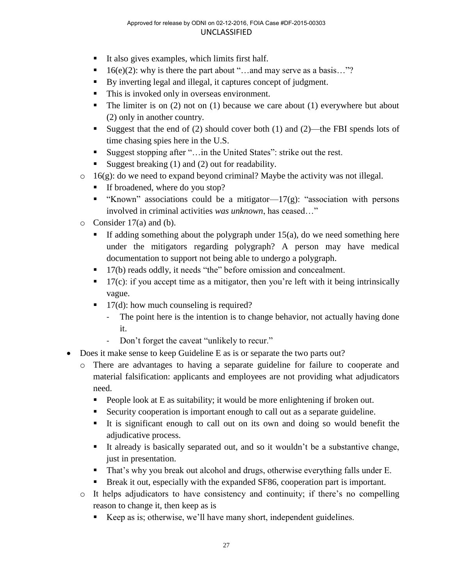- $\blacksquare$  It also gives examples, which limits first half.
- $\blacksquare$  16(e)(2): why is there the part about "...and may serve as a basis..."?
- By inverting legal and illegal, it captures concept of judgment.
- This is invoked only in overseas environment.
- The limiter is on  $(2)$  not on  $(1)$  because we care about  $(1)$  everywhere but about (2) only in another country.
- Suggest that the end of  $(2)$  should cover both  $(1)$  and  $(2)$ —the FBI spends lots of time chasing spies here in the U.S.
- Suggest stopping after "…in the United States": strike out the rest.
- Suggest breaking  $(1)$  and  $(2)$  out for readability.
- $\circ$  16(g): do we need to expand beyond criminal? Maybe the activity was not illegal.
	- If broadened, where do you stop?
	- " "Known" associations could be a mitigator— $17(g)$ : "association with persons" involved in criminal activities *was unknown*, has ceased…"
- o Consider 17(a) and (b).
	- If adding something about the polygraph under  $15(a)$ , do we need something here under the mitigators regarding polygraph? A person may have medical documentation to support not being able to undergo a polygraph.
	- 17(b) reads oddly, it needs "the" before omission and concealment.
	- $\blacksquare$  17(c): if you accept time as a mitigator, then you're left with it being intrinsically vague.
	- $\blacksquare$  17(d): how much counseling is required?
		- The point here is the intention is to change behavior, not actually having done it.
		- Don't forget the caveat "unlikely to recur."
- Does it make sense to keep Guideline E as is or separate the two parts out?
	- o There are advantages to having a separate guideline for failure to cooperate and material falsification: applicants and employees are not providing what adjudicators need.
		- People look at E as suitability; it would be more enlightening if broken out.
		- Security cooperation is important enough to call out as a separate guideline.
		- It is significant enough to call out on its own and doing so would benefit the adjudicative process.
		- It already is basically separated out, and so it wouldn't be a substantive change, just in presentation.
		- That's why you break out alcohol and drugs, otherwise everything falls under E.
		- Break it out, especially with the expanded SF86, cooperation part is important.
	- o It helps adjudicators to have consistency and continuity; if there's no compelling reason to change it, then keep as is
		- Keep as is; otherwise, we'll have many short, independent guidelines.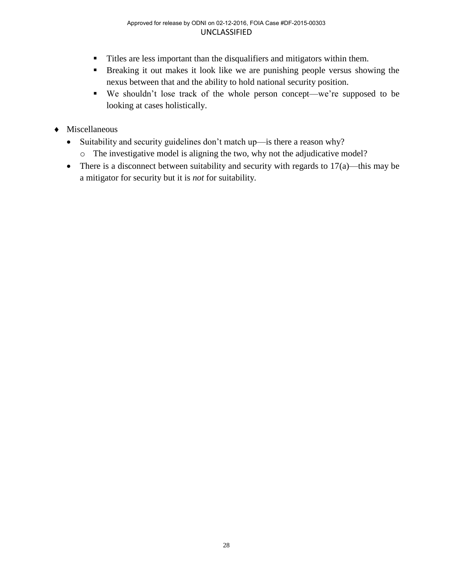- Titles are less important than the disqualifiers and mitigators within them.
- Breaking it out makes it look like we are punishing people versus showing the nexus between that and the ability to hold national security position.
- We shouldn't lose track of the whole person concept—we're supposed to be looking at cases holistically.
- Miscellaneous
	- Suitability and security guidelines don't match up—is there a reason why?
		- o The investigative model is aligning the two, why not the adjudicative model?
	- There is a disconnect between suitability and security with regards to  $17(a)$ —this may be a mitigator for security but it is *not* for suitability.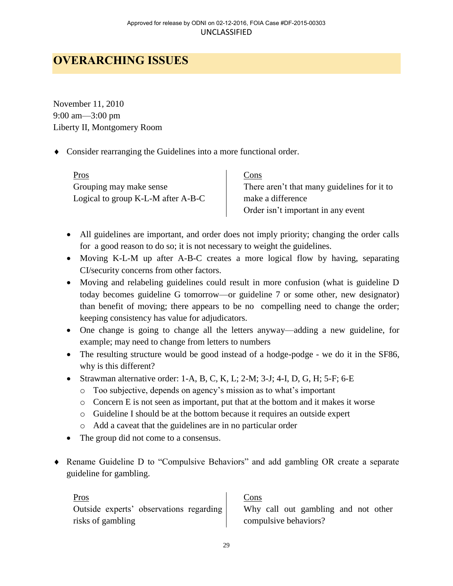# <span id="page-31-0"></span>**OVERARCHING ISSUES**

November 11, 2010 9:00 am—3:00 pm Liberty II, Montgomery Room

Consider rearranging the Guidelines into a more functional order.

Pros Cons Grouping may make sense Logical to group K-L-M after A-B-C

There aren't that many guidelines for it to make a difference Order isn't important in any event

- All guidelines are important, and order does not imply priority; changing the order calls for a good reason to do so; it is not necessary to weight the guidelines.
- Moving K-L-M up after A-B-C creates a more logical flow by having, separating CI/security concerns from other factors.
- Moving and relabeling guidelines could result in more confusion (what is guideline D today becomes guideline G tomorrow—or guideline 7 or some other, new designator) than benefit of moving; there appears to be no compelling need to change the order; keeping consistency has value for adjudicators.
- One change is going to change all the letters anyway—adding a new guideline, for example; may need to change from letters to numbers
- The resulting structure would be good instead of a hodge-podge we do it in the SF86, why is this different?
- $\bullet$  Strawman alternative order: 1-A, B, C, K, L; 2-M; 3-J; 4-I, D, G, H; 5-F; 6-E
	- o Too subjective, depends on agency's mission as to what's important
	- $\circ$  Concern E is not seen as important, put that at the bottom and it makes it worse
	- o Guideline I should be at the bottom because it requires an outside expert
	- o Add a caveat that the guidelines are in no particular order
- The group did not come to a consensus.
- Rename Guideline D to "Compulsive Behaviors" and add gambling OR create a separate guideline for gambling.

Pros Cons Outside experts' observations regarding risks of gambling

Why call out gambling and not other compulsive behaviors?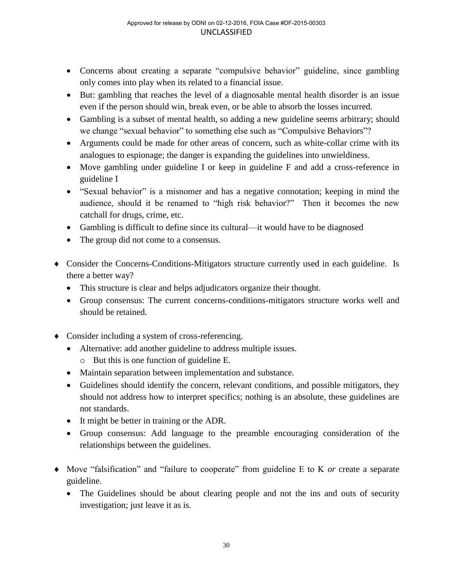- Concerns about creating a separate "compulsive behavior" guideline, since gambling only comes into play when its related to a financial issue.
- But: gambling that reaches the level of a diagnosable mental health disorder is an issue even if the person should win, break even, or be able to absorb the losses incurred.
- Gambling is a subset of mental health, so adding a new guideline seems arbitrary; should we change "sexual behavior" to something else such as "Compulsive Behaviors"?
- Arguments could be made for other areas of concern, such as white-collar crime with its analogues to espionage; the danger is expanding the guidelines into unwieldiness.
- Move gambling under guideline I or keep in guideline F and add a cross-reference in guideline I
- "Sexual behavior" is a misnomer and has a negative connotation; keeping in mind the audience, should it be renamed to "high risk behavior?" Then it becomes the new catchall for drugs, crime, etc.
- Gambling is difficult to define since its cultural—it would have to be diagnosed
- The group did not come to a consensus.
- Consider the Concerns-Conditions-Mitigators structure currently used in each guideline. Is there a better way?
	- This structure is clear and helps adjudicators organize their thought.
	- Group consensus: The current concerns-conditions-mitigators structure works well and should be retained.
- Consider including a system of cross-referencing.
	- Alternative: add another guideline to address multiple issues.
		- o But this is one function of guideline E.
	- Maintain separation between implementation and substance.
	- Guidelines should identify the concern, relevant conditions, and possible mitigators, they should not address how to interpret specifics; nothing is an absolute, these guidelines are not standards.
	- It might be better in training or the ADR.
	- Group consensus: Add language to the preamble encouraging consideration of the relationships between the guidelines.
- Move "falsification" and "failure to cooperate" from guideline E to K *or* create a separate guideline.
	- The Guidelines should be about clearing people and not the ins and outs of security investigation; just leave it as is.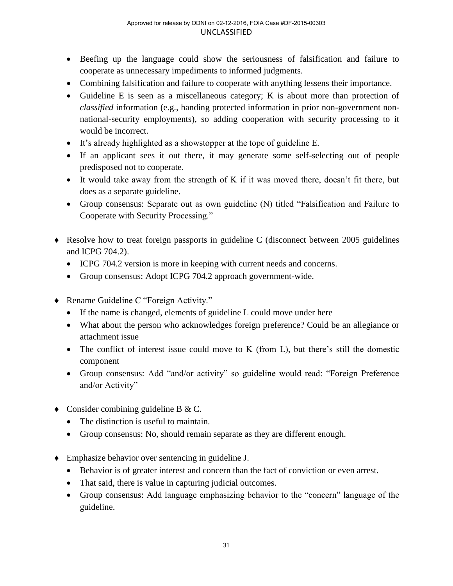- Beefing up the language could show the seriousness of falsification and failure to cooperate as unnecessary impediments to informed judgments.
- Combining falsification and failure to cooperate with anything lessens their importance.
- Guideline E is seen as a miscellaneous category; K is about more than protection of *classified* information (e.g., handing protected information in prior non-government nonnational-security employments), so adding cooperation with security processing to it would be incorrect.
- It's already highlighted as a showstopper at the tope of guideline E.
- If an applicant sees it out there, it may generate some self-selecting out of people predisposed not to cooperate.
- It would take away from the strength of K if it was moved there, doesn't fit there, but does as a separate guideline.
- Group consensus: Separate out as own guideline (N) titled "Falsification and Failure to Cooperate with Security Processing."
- Resolve how to treat foreign passports in guideline C (disconnect between 2005 guidelines and ICPG 704.2).
	- ICPG 704.2 version is more in keeping with current needs and concerns.
	- Group consensus: Adopt ICPG 704.2 approach government-wide.
- ◆ Rename Guideline C "Foreign Activity."
	- If the name is changed, elements of guideline L could move under here
	- What about the person who acknowledges foreign preference? Could be an allegiance or attachment issue
	- The conflict of interest issue could move to K (from L), but there's still the domestic component
	- Group consensus: Add "and/or activity" so guideline would read: "Foreign Preference and/or Activity"
- Consider combining guideline B & C.
	- The distinction is useful to maintain.
	- Group consensus: No, should remain separate as they are different enough.
- Emphasize behavior over sentencing in guideline J.
	- Behavior is of greater interest and concern than the fact of conviction or even arrest.
	- That said, there is value in capturing judicial outcomes.
	- Group consensus: Add language emphasizing behavior to the "concern" language of the guideline.